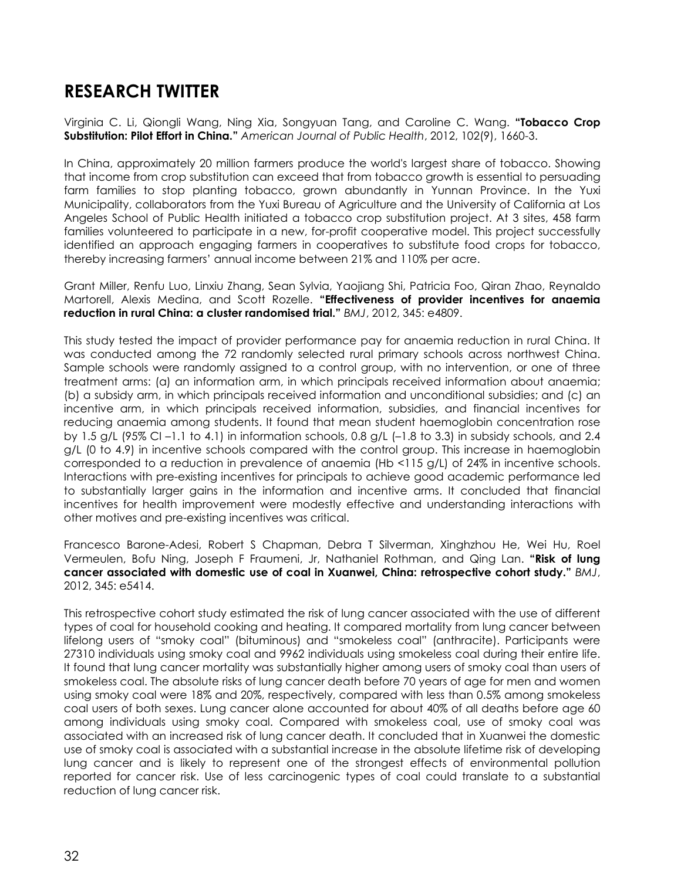## **RESEARCH TWITTER**

Virginia C. Li, Qiongli Wang, Ning Xia, Songyuan Tang, and Caroline C. Wang. **"Tobacco Crop Substitution: Pilot Effort in China."** *American Journal of Public Health*, 2012, 102(9), 1660-3.

In China, approximately 20 million farmers produce the world's largest share of tobacco. Showing that income from crop substitution can exceed that from tobacco growth is essential to persuading farm families to stop planting tobacco, grown abundantly in Yunnan Province. In the Yuxi Municipality, collaborators from the Yuxi Bureau of Agriculture and the University of California at Los Angeles School of Public Health initiated a tobacco crop substitution project. At 3 sites, 458 farm families volunteered to participate in a new, for-profit cooperative model. This project successfully identified an approach engaging farmers in cooperatives to substitute food crops for tobacco, thereby increasing farmers' annual income between 21% and 110% per acre.

Grant Miller, Renfu Luo, Linxiu Zhang, Sean Sylvia, Yaojiang Shi, Patricia Foo, Qiran Zhao, Reynaldo Martorell, Alexis Medina, and Scott Rozelle. **"Effectiveness of provider incentives for anaemia reduction in rural China: a cluster randomised trial."** *BMJ*, 2012, 345: e4809.

This study tested the impact of provider performance pay for anaemia reduction in rural China. It was conducted among the 72 randomly selected rural primary schools across northwest China. Sample schools were randomly assigned to a control group, with no intervention, or one of three treatment arms: (a) an information arm, in which principals received information about anaemia; (b) a subsidy arm, in which principals received information and unconditional subsidies; and (c) an incentive arm, in which principals received information, subsidies, and financial incentives for reducing anaemia among students. It found that mean student haemoglobin concentration rose by 1.5 g/L (95% CI-1.1 to 4.1) in information schools, 0.8 g/L (-1.8 to 3.3) in subsidy schools, and 2.4 g/L (0 to 4.9) in incentive schools compared with the control group. This increase in haemoglobin corresponded to a reduction in prevalence of anaemia (Hb <115 g/L) of 24% in incentive schools. Interactions with pre-existing incentives for principals to achieve good academic performance led to substantially larger gains in the information and incentive arms. It concluded that financial incentives for health improvement were modestly effective and understanding interactions with other motives and pre-existing incentives was critical.

Francesco Barone-Adesi, Robert S Chapman, Debra T Silverman, Xinghzhou He, Wei Hu, Roel Vermeulen, Bofu Ning, Joseph F Fraumeni, Jr, Nathaniel Rothman, and Qing Lan. **"Risk of lung cancer associated with domestic use of coal in Xuanwei, China: retrospective cohort study."** *BMJ*, 2012, 345: e5414.

This retrospective cohort study estimated the risk of lung cancer associated with the use of different types of coal for household cooking and heating. It compared mortality from lung cancer between lifelong users of "smoky coal" (bituminous) and "smokeless coal" (anthracite). Participants were 27310 individuals using smoky coal and 9962 individuals using smokeless coal during their entire life. It found that lung cancer mortality was substantially higher among users of smoky coal than users of smokeless coal. The absolute risks of lung cancer death before 70 years of age for men and women using smoky coal were 18% and 20%, respectively, compared with less than 0.5% among smokeless coal users of both sexes. Lung cancer alone accounted for about 40% of all deaths before age 60 among individuals using smoky coal. Compared with smokeless coal, use of smoky coal was associated with an increased risk of lung cancer death. It concluded that in Xuanwei the domestic use of smoky coal is associated with a substantial increase in the absolute lifetime risk of developing lung cancer and is likely to represent one of the strongest effects of environmental pollution reported for cancer risk. Use of less carcinogenic types of coal could translate to a substantial reduction of lung cancer risk.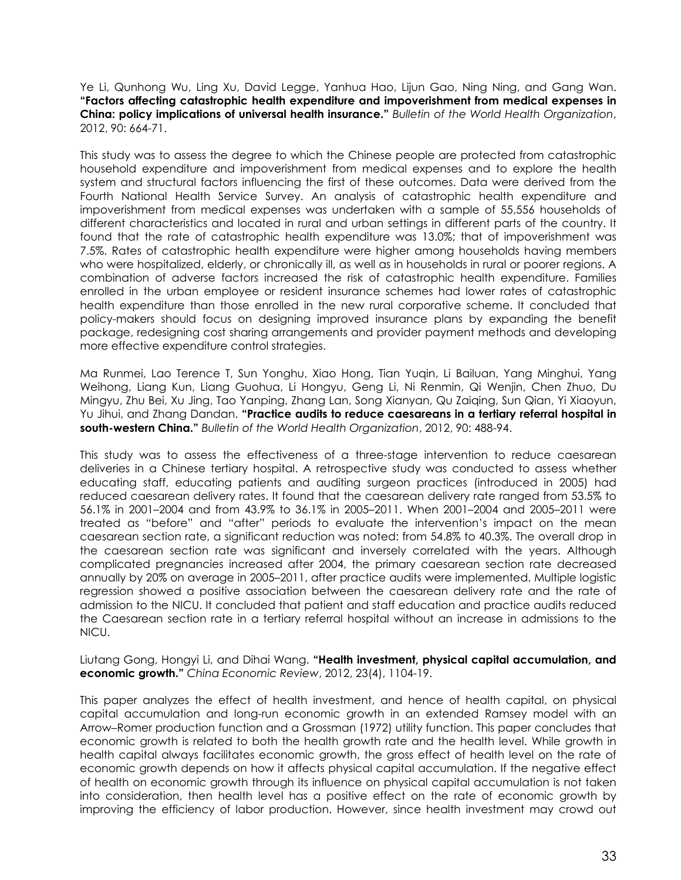Ye Li, Qunhong Wu, Ling Xu, David Legge, Yanhua Hao, Lijun Gao, Ning Ning, and Gang Wan. **"Factors affecting catastrophic health expenditure and impoverishment from medical expenses in China: policy implications of universal health insurance."** *Bulletin of the World Health Organization*, 2012, 90: 664-71.

This study was to assess the degree to which the Chinese people are protected from catastrophic household expenditure and impoverishment from medical expenses and to explore the health system and structural factors influencing the first of these outcomes. Data were derived from the Fourth National Health Service Survey. An analysis of catastrophic health expenditure and impoverishment from medical expenses was undertaken with a sample of 55,556 households of different characteristics and located in rural and urban settings in different parts of the country. It found that the rate of catastrophic health expenditure was 13.0%; that of impoverishment was 7.5%. Rates of catastrophic health expenditure were higher among households having members who were hospitalized, elderly, or chronically ill, as well as in households in rural or poorer reaions. A combination of adverse factors increased the risk of catastrophic health expenditure. Families enrolled in the urban employee or resident insurance schemes had lower rates of catastrophic health expenditure than those enrolled in the new rural corporative scheme. It concluded that policy-makers should focus on designing improved insurance plans by expanding the benefit package, redesigning cost sharing arrangements and provider payment methods and developing more effective expenditure control strategies.

Ma Runmei, Lao Terence T, Sun Yonghu, Xiao Hong, Tian Yuqin, Li Bailuan, Yang Minghui, Yang Weihong, Liang Kun, Liang Guohua, Li Hongyu, Geng Li, Ni Renmin, Qi Wenjin, Chen Zhuo, Du Mingyu, Zhu Bei, Xu Jing, Tao Yanping, Zhang Lan, Song Xianyan, Qu Zaiqing, Sun Qian, Yi Xiaoyun, Yu Jihui, and Zhang Dandan. **"Practice audits to reduce caesareans in a tertiary referral hospital in south-western China."** *Bulletin of the World Health Organization*, 2012, 90: 488-94.

This study was to assess the effectiveness of a three-stage intervention to reduce caesarean deliveries in a Chinese tertiary hospital. A retrospective study was conducted to assess whether educating staff, educating patients and auditing surgeon practices (introduced in 2005) had reduced caesarean delivery rates. It found that the caesarean delivery rate ranged from 53.5% to 56.1% in 2001–2004 and from 43.9% to 36.1% in 2005–2011. When 2001–2004 and 2005–2011 were treated as "before" and "after" periods to evaluate the intervention's impact on the mean caesarean section rate, a significant reduction was noted: from 54.8% to 40.3%. The overall drop in the caesarean section rate was significant and inversely correlated with the years. Although complicated pregnancies increased after 2004, the primary caesarean section rate decreased annually by 20% on average in 2005–2011, after practice audits were implemented. Multiple logistic regression showed a positive association between the caesarean delivery rate and the rate of admission to the NICU. It concluded that patient and staff education and practice audits reduced the Caesarean section rate in a tertiary referral hospital without an increase in admissions to the NICU.

Liutang Gong, Hongyi Li, and Dihai Wang. **"Health investment, physical capital accumulation, and economic growth."** *China Economic Review*, 2012, 23(4), 1104-19.

This paper analyzes the effect of health investment, and hence of health capital, on physical capital accumulation and long-run economic growth in an extended Ramsey model with an Arrow–Romer production function and a Grossman (1972) utility function. This paper concludes that economic growth is related to both the health growth rate and the health level. While growth in health capital always facilitates economic growth, the gross effect of health level on the rate of economic growth depends on how it affects physical capital accumulation. If the negative effect of health on economic growth through its influence on physical capital accumulation is not taken into consideration, then health level has a positive effect on the rate of economic growth by improving the efficiency of labor production. However, since health investment may crowd out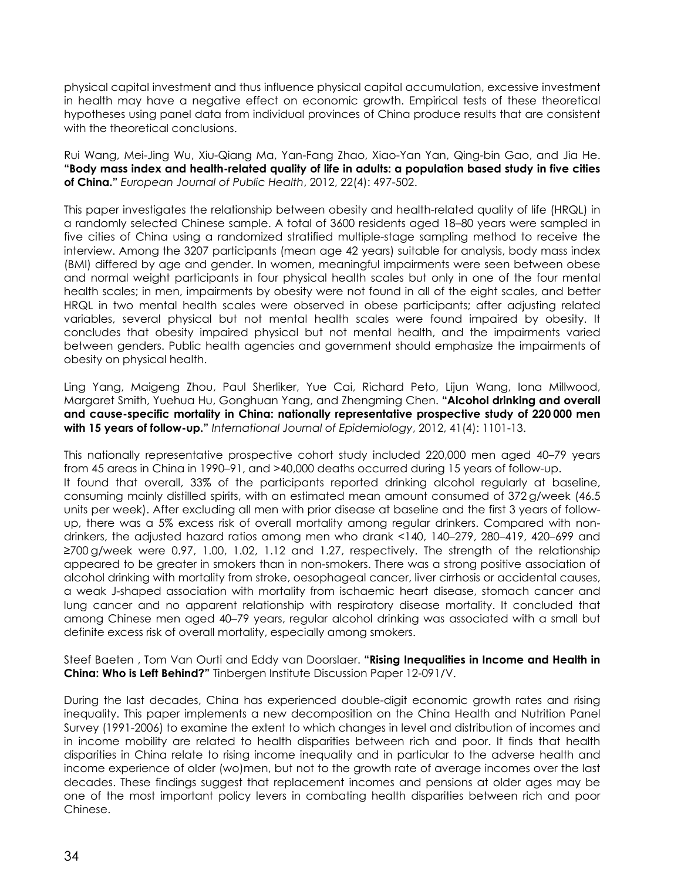physical capital investment and thus influence physical capital accumulation, excessive investment in health may have a negative effect on economic growth. Empirical tests of these theoretical hypotheses using panel data from individual provinces of China produce results that are consistent with the theoretical conclusions.

Rui Wang, Mei-Jing Wu, Xiu-Qiang Ma, Yan-Fang Zhao, Xiao-Yan Yan, Qing-bin Gao, and Jia He. **"Body mass index and health-related quality of life in adults: a population based study in five cities of China."** *European Journal of Public Health*, 2012, 22(4): 497-502.

This paper investigates the relationship between obesity and health-related quality of life (HRQL) in a randomly selected Chinese sample. A total of 3600 residents aged 18–80 years were sampled in five cities of China using a randomized stratified multiple-stage sampling method to receive the interview. Among the 3207 participants (mean age 42 years) suitable for analysis, body mass index (BMI) differed by age and gender. In women, meaningful impairments were seen between obese and normal weight participants in four physical health scales but only in one of the four mental health scales; in men, impairments by obesity were not found in all of the eight scales, and better HRQL in two mental health scales were observed in obese participants; after adjusting related variables, several physical but not mental health scales were found impaired by obesity. It concludes that obesity impaired physical but not mental health, and the impairments varied between genders. Public health agencies and government should emphasize the impairments of obesity on physical health.

Ling Yang, Maigeng Zhou, Paul Sherliker, Yue Cai, Richard Peto, Lijun Wang, Iona Millwood, Margaret Smith, Yuehua Hu, Gonghuan Yang, and Zhengming Chen. **"Alcohol drinking and overall and cause-specific mortality in China: nationally representative prospective study of 220 000 men with 15 years of follow-up."** *International Journal of Epidemiology*, 2012, 41(4): 1101-13.

This nationally representative prospective cohort study included 220,000 men aged 40–79 years from 45 areas in China in 1990–91, and >40,000 deaths occurred during 15 years of follow-up. It found that overall, 33% of the participants reported drinking alcohol regularly at baseline, consuming mainly distilled spirits, with an estimated mean amount consumed of 372 g/week (46.5 units per week). After excluding all men with prior disease at baseline and the first 3 years of followup, there was a 5% excess risk of overall mortality among regular drinkers. Compared with nondrinkers, the adjusted hazard ratios among men who drank <140, 140–279, 280–419, 420–699 and ≥700 g/week were 0.97, 1.00, 1.02, 1.12 and 1.27, respectively. The strength of the relationship appeared to be greater in smokers than in non-smokers. There was a strong positive association of alcohol drinking with mortality from stroke, oesophageal cancer, liver cirrhosis or accidental causes, a weak J-shaped association with mortality from ischaemic heart disease, stomach cancer and lung cancer and no apparent relationship with respiratory disease mortality. It concluded that among Chinese men aged 40–79 years, regular alcohol drinking was associated with a small but definite excess risk of overall mortality, especially among smokers.

Steef Baeten , Tom Van Ourti and Eddy van Doorslaer. **"Rising Inequalities in Income and Health in China: Who is Left Behind?"** Tinbergen Institute Discussion Paper 12-091/V.

During the last decades, China has experienced double-digit economic growth rates and rising inequality. This paper implements a new decomposition on the China Health and Nutrition Panel Survey (1991-2006) to examine the extent to which changes in level and distribution of incomes and in income mobility are related to health disparities between rich and poor. It finds that health disparities in China relate to rising income inequality and in particular to the adverse health and income experience of older (wo)men, but not to the growth rate of average incomes over the last decades. These findings suggest that replacement incomes and pensions at older ages may be one of the most important policy levers in combating health disparities between rich and poor Chinese.